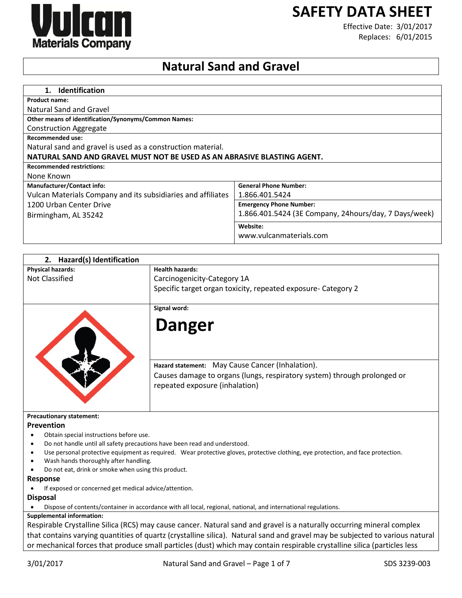# **SAFETY DATA SHEET**



Effective Date: 3/01/2017 Replaces: 6/01/2015

# **Natural Sand and Gravel**

| <b>Identification</b>                                                   |                                                        |
|-------------------------------------------------------------------------|--------------------------------------------------------|
| <b>Product name:</b>                                                    |                                                        |
| Natural Sand and Gravel                                                 |                                                        |
| <b>Other means of identification/Synonyms/Common Names:</b>             |                                                        |
| <b>Construction Aggregate</b>                                           |                                                        |
| <b>Recommended use:</b>                                                 |                                                        |
| Natural sand and gravel is used as a construction material.             |                                                        |
| NATURAL SAND AND GRAVEL MUST NOT BE USED AS AN ABRASIVE BLASTING AGENT. |                                                        |
| <b>Recommended restrictions:</b>                                        |                                                        |
| None Known                                                              |                                                        |
| <b>Manufacturer/Contact info:</b>                                       | <b>General Phone Number:</b>                           |
| Vulcan Materials Company and its subsidiaries and affiliates            | 1.866.401.5424                                         |
| 1200 Urban Center Drive                                                 | <b>Emergency Phone Number:</b>                         |
| Birmingham, AL 35242                                                    | 1.866.401.5424 (3E Company, 24 hours/day, 7 Days/week) |
|                                                                         | Website:                                               |
|                                                                         | www.vulcanmaterials.com                                |

| 2. Hazard(s) Identification                                               |                                                                                                                                  |
|---------------------------------------------------------------------------|----------------------------------------------------------------------------------------------------------------------------------|
| <b>Physical hazards:</b>                                                  | <b>Health hazards:</b>                                                                                                           |
| <b>Not Classified</b>                                                     | Carcinogenicity-Category 1A                                                                                                      |
|                                                                           | Specific target organ toxicity, repeated exposure- Category 2                                                                    |
|                                                                           |                                                                                                                                  |
|                                                                           | Signal word:                                                                                                                     |
|                                                                           | <b>Danger</b>                                                                                                                    |
|                                                                           | Hazard statement: May Cause Cancer (Inhalation).                                                                                 |
|                                                                           | Causes damage to organs (lungs, respiratory system) through prolonged or                                                         |
|                                                                           |                                                                                                                                  |
|                                                                           | repeated exposure (inhalation)                                                                                                   |
|                                                                           |                                                                                                                                  |
| <b>Precautionary statement:</b>                                           |                                                                                                                                  |
| Prevention                                                                |                                                                                                                                  |
| Obtain special instructions before use.                                   |                                                                                                                                  |
| Do not handle until all safety precautions have been read and understood. |                                                                                                                                  |
|                                                                           | Use personal protective equipment as required. Wear protective gloves, protective clothing, eye protection, and face protection. |
| Wash hands thoroughly after handling.                                     |                                                                                                                                  |
| Do not eat, drink or smoke when using this product.                       |                                                                                                                                  |
| Response                                                                  |                                                                                                                                  |
| If exposed or concerned get medical advice/attention.                     |                                                                                                                                  |
| <b>Disposal</b>                                                           |                                                                                                                                  |
|                                                                           | Dispose of contents/container in accordance with all local, regional, national, and international regulations.                   |
| <b>Supplemental information:</b>                                          |                                                                                                                                  |
|                                                                           | Respirable Crystalline Silica (RCS) may cause cancer. Natural sand and gravel is a naturally occurring mineral complex           |
|                                                                           | that contains varying quantities of quartz (crystalline silica). Natural sand and gravel may be subjected to various natural     |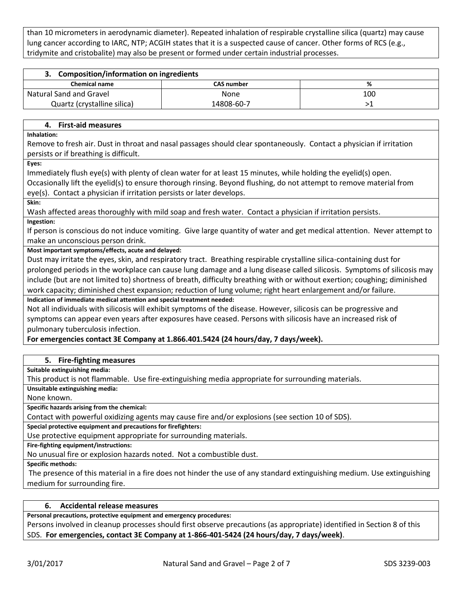than 10 micrometers in aerodynamic diameter). Repeated inhalation of respirable crystalline silica (quartz) may cause lung cancer according to IARC, NTP; ACGIH states that it is a suspected cause of cancer. Other forms of RCS (e.g., tridymite and cristobalite) may also be present or formed under certain industrial processes.

| 3. Composition/information on ingredients |                   |     |  |
|-------------------------------------------|-------------------|-----|--|
| <b>Chemical name</b>                      | <b>CAS number</b> | ℅   |  |
| Natural Sand and Gravel                   | None              | 100 |  |
| Quartz (crystalline silica)               | 14808-60-7        |     |  |

## **4. First-aid measures**

**Inhalation:**

Remove to fresh air. Dust in throat and nasal passages should clear spontaneously. Contact a physician if irritation persists or if breathing is difficult.

**Eyes:**

Immediately flush eye(s) with plenty of clean water for at least 15 minutes, while holding the eyelid(s) open. Occasionally lift the eyelid(s) to ensure thorough rinsing. Beyond flushing, do not attempt to remove material from eye(s). Contact a physician if irritation persists or later develops.

**Skin:**

Wash affected areas thoroughly with mild soap and fresh water. Contact a physician if irritation persists.

#### **Ingestion:**

If person is conscious do not induce vomiting. Give large quantity of water and get medical attention. Never attempt to make an unconscious person drink.

# **Most important symptoms/effects, acute and delayed:**

Dust may irritate the eyes, skin, and respiratory tract. Breathing respirable crystalline silica-containing dust for prolonged periods in the workplace can cause lung damage and a lung disease called silicosis. Symptoms of silicosis may include (but are not limited to) shortness of breath, difficulty breathing with or without exertion; coughing; diminished work capacity; diminished chest expansion; reduction of lung volume; right heart enlargement and/or failure. **Indication of immediate medical attention and special treatment needed:**

Not all individuals with silicosis will exhibit symptoms of the disease. However, silicosis can be progressive and symptoms can appear even years after exposures have ceased. Persons with silicosis have an increased risk of pulmonary tuberculosis infection.

**For emergencies contact 3E Company at 1.866.401.5424 (24 hours/day, 7 days/week).**

# **5. Fire-fighting measures**

**Suitable extinguishing media:**

This product is not flammable. Use fire-extinguishing media appropriate for surrounding materials.

**Unsuitable extinguishing media:**

None known.

**Specific hazards arising from the chemical:**

Contact with powerful oxidizing agents may cause fire and/or explosions (see section 10 of SDS).

**Special protective equipment and precautions for firefighters:**

Use protective equipment appropriate for surrounding materials.

**Fire-fighting equipment/instructions:**

No unusual fire or explosion hazards noted. Not a combustible dust.

**Specific methods:**

The presence of this material in a fire does not hinder the use of any standard extinguishing medium. Use extinguishing medium for surrounding fire.

# **6. Accidental release measures**

**Personal precautions, protective equipment and emergency procedures:**

Persons involved in cleanup processes should first observe precautions (as appropriate) identified in Section 8 of this SDS. **For emergencies, contact 3E Company at 1-866-401-5424 (24 hours/day, 7 days/week)**.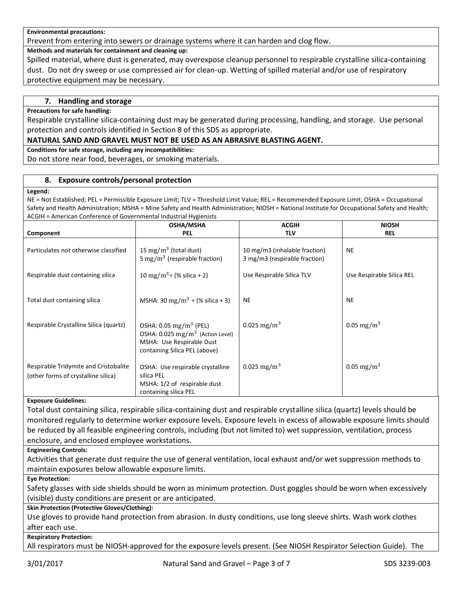#### **Environmental precautions:**

Prevent from entering into sewers or drainage systems where it can harden and clog flow.

**Methods and materials for containment and cleaning up:**

Spilled material, where dust is generated, may overexpose cleanup personnel to respirable crystalline silica-containing dust. Do not dry sweep or use compressed air for clean-up. Wetting of spilled material and/or use of respiratory protective equipment may be necessary.

## **7. Handling and storage**

#### **Precautions for safe handling:**

Respirable crystalline silica-containing dust may be generated during processing, handling, and storage. Use personal protection and controls identified in Section 8 of this SDS as appropriate.

#### **NATURAL SAND AND GRAVEL MUST NOT BE USED AS AN ABRASIVE BLASTING AGENT.**

**Conditions for safe storage, including any incompatibilities:**

Do not store near food, beverages, or smoking materials.

#### **8. Exposure controls/personal protection**

#### **Legend:**

NE = Not Established; PEL = Permissible Exposure Limit; TLV = Threshold Limit Value; REL = Recommended Exposure Limit; OSHA = Occupational Safety and Health Administration; MSHA = Mine Safety and Health Administration; NIOSH = National Institute for Occupational Safety and Health; ACGIH = American Conference of Governmental Industrial Hygienists

| Component                                                                    | <b>OSHA/MSHA</b><br><b>PEL</b>                                                                                                                  | <b>ACGIH</b><br><b>TLV</b>                                     | <b>NIOSH</b><br><b>REL</b> |
|------------------------------------------------------------------------------|-------------------------------------------------------------------------------------------------------------------------------------------------|----------------------------------------------------------------|----------------------------|
|                                                                              |                                                                                                                                                 |                                                                |                            |
| Particulates not otherwise classified                                        | 15 mg/m <sup>3</sup> (total dust)<br>5 mg/m <sup>3</sup> (respirable fraction)                                                                  | 10 mg/m3 (inhalable fraction)<br>3 mg/m3 (respirable fraction) | <b>NE</b>                  |
| Respirable dust containing silica                                            | 10 mg/m <sup>3</sup> ÷ (% silica + 2)                                                                                                           | Use Respirable Silica TLV                                      | Use Respirable Silica REL  |
| Total dust containing silica                                                 | MSHA: 30 mg/m <sup>3</sup> $\div$ (% silica + 3)                                                                                                | <b>NE</b>                                                      | <b>NE</b>                  |
| Respirable Crystalline Silica (quartz)                                       | OSHA: $0.05 \text{ mg/m}^3$ (PEL)<br>OSHA: 0.025 mg/m <sup>3</sup> (Action Level)<br>MSHA: Use Respirable Dust<br>containing Silica PEL (above) | 0.025 mg/m <sup>3</sup>                                        | 0.05 mg/m <sup>3</sup>     |
| Respirable Tridymite and Cristobalite<br>(other forms of crystalline silica) | OSHA: Use respirable crystalline<br>silica PEL<br>MSHA: 1/2 of respirable dust<br>containing silica PEL                                         | 0.025 mg/m <sup>3</sup>                                        | 0.05 mg/m <sup>3</sup>     |

#### **Exposure Guidelines:**

Total dust containing silica, respirable silica-containing dust and respirable crystalline silica (quartz) levels should be monitored regularly to determine worker exposure levels. Exposure levels in excess of allowable exposure limits should be reduced by all feasible engineering controls, including (but not limited to) wet suppression, ventilation, process enclosure, and enclosed employee workstations.

#### **Engineering Controls:**

Activities that generate dust require the use of general ventilation, local exhaust and/or wet suppression methods to maintain exposures below allowable exposure limits.

**Eye Protection:**

Safety glasses with side shields should be worn as minimum protection. Dust goggles should be worn when excessively (visible) dusty conditions are present or are anticipated.

# **Skin Protection (Protective Gloves/Clothing):**

Use gloves to provide hand protection from abrasion. In dusty conditions, use long sleeve shirts. Wash work clothes after each use.

#### **Respiratory Protection:**

All respirators must be NIOSH-approved for the exposure levels present. (See NIOSH Respirator Selection Guide). The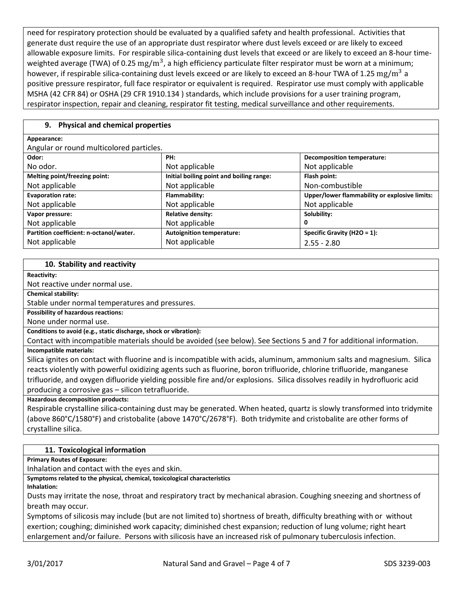need for respiratory protection should be evaluated by a qualified safety and health professional. Activities that generate dust require the use of an appropriate dust respirator where dust levels exceed or are likely to exceed allowable exposure limits. For respirable silica-containing dust levels that exceed or are likely to exceed an 8-hour timeweighted average (TWA) of 0.25  $\rm mg/m^3$ , a high efficiency particulate filter respirator must be worn at a minimum; however, if respirable silica-containing dust levels exceed or are likely to exceed an 8-hour TWA of 1.25  $\rm mg/m^3$  a positive pressure respirator, full face respirator or equivalent is required. Respirator use must comply with applicable MSHA (42 CFR 84) or OSHA (29 CFR 1910.134 ) standards, which include provisions for a user training program, respirator inspection, repair and cleaning, respirator fit testing, medical surveillance and other requirements.

# **9. Physical and chemical properties**

#### **Appearance:**

Angular or round multicolored particles.

| rugalar or roand maiticolored particles. |                                          |                                               |  |
|------------------------------------------|------------------------------------------|-----------------------------------------------|--|
| Odor:                                    | PH:                                      | <b>Decomposition temperature:</b>             |  |
| No odor.                                 | Not applicable                           | Not applicable                                |  |
| Melting point/freezing point:            | Initial boiling point and boiling range: | Flash point:                                  |  |
| Not applicable                           | Not applicable                           | Non-combustible                               |  |
| <b>Evaporation rate:</b>                 | Flammability:                            | Upper/lower flammability or explosive limits: |  |
| Not applicable                           | Not applicable                           | Not applicable                                |  |
| Vapor pressure:                          | <b>Relative density:</b>                 | Solubility:                                   |  |
| Not applicable                           | Not applicable                           | 0                                             |  |
| Partition coefficient: n-octanol/water.  | <b>Autoignition temperature:</b>         | Specific Gravity (H2O = 1):                   |  |
| Not applicable                           | Not applicable                           | $2.55 - 2.80$                                 |  |

#### **10. Stability and reactivity**

**Reactivity:**

Not reactive under normal use.

**Chemical stability:**

Stable under normal temperatures and pressures.

**Possibility of hazardous reactions:**

None under normal use.

**Conditions to avoid (e.g., static discharge, shock or vibration):**

Contact with incompatible materials should be avoided (see below). See Sections 5 and 7 for additional information. **Incompatible materials:**

Silica ignites on contact with fluorine and is incompatible with acids, aluminum, ammonium salts and magnesium. Silica reacts violently with powerful oxidizing agents such as fluorine, boron trifluoride, chlorine trifluoride, manganese trifluoride, and oxygen difluoride yielding possible fire and/or explosions. Silica dissolves readily in hydrofluoric acid producing a corrosive gas – silicon tetrafluoride.

**Hazardous decomposition products:**

Respirable crystalline silica-containing dust may be generated. When heated, quartz is slowly transformed into tridymite (above 860°C/1580°F) and cristobalite (above 1470°C/2678°F). Both tridymite and cristobalite are other forms of crystalline silica.

# **11. Toxicological information**

**Primary Routes of Exposure:**

Inhalation and contact with the eyes and skin.

**Symptoms related to the physical, chemical, toxicological characteristics**

**Inhalation:**

Dusts may irritate the nose, throat and respiratory tract by mechanical abrasion. Coughing sneezing and shortness of breath may occur.

Symptoms of silicosis may include (but are not limited to) shortness of breath, difficulty breathing with or without exertion; coughing; diminished work capacity; diminished chest expansion; reduction of lung volume; right heart enlargement and/or failure. Persons with silicosis have an increased risk of pulmonary tuberculosis infection.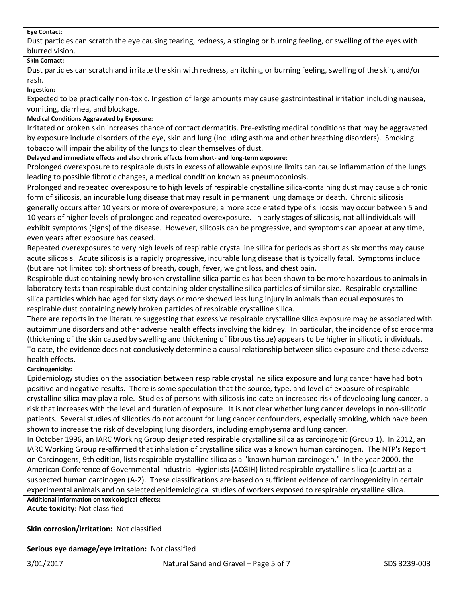#### **Eye Contact:**

Dust particles can scratch the eye causing tearing, redness, a stinging or burning feeling, or swelling of the eyes with blurred vision.

#### **Skin Contact:**

Dust particles can scratch and irritate the skin with redness, an itching or burning feeling, swelling of the skin, and/or rash.

**Ingestion:**

Expected to be practically non-toxic. Ingestion of large amounts may cause gastrointestinal irritation including nausea, vomiting, diarrhea, and blockage.

#### **Medical Conditions Aggravated by Exposure:**

Irritated or broken skin increases chance of contact dermatitis. Pre-existing medical conditions that may be aggravated by exposure include disorders of the eye, skin and lung (including asthma and other breathing disorders). Smoking tobacco will impair the ability of the lungs to clear themselves of dust.

**Delayed and immediate effects and also chronic effects from short- and long-term exposure:**

Prolonged overexposure to respirable dusts in excess of allowable exposure limits can cause inflammation of the lungs leading to possible fibrotic changes, a medical condition known as pneumoconiosis.

Prolonged and repeated overexposure to high levels of respirable crystalline silica-containing dust may cause a chronic form of silicosis, an incurable lung disease that may result in permanent lung damage or death. Chronic silicosis generally occurs after 10 years or more of overexposure; a more accelerated type of silicosis may occur between 5 and 10 years of higher levels of prolonged and repeated overexposure. In early stages of silicosis, not all individuals will exhibit symptoms (signs) of the disease. However, silicosis can be progressive, and symptoms can appear at any time, even years after exposure has ceased.

Repeated overexposures to very high levels of respirable crystalline silica for periods as short as six months may cause acute silicosis. Acute silicosis is a rapidly progressive, incurable lung disease that is typically fatal. Symptoms include (but are not limited to): shortness of breath, cough, fever, weight loss, and chest pain.

Respirable dust containing newly broken crystalline silica particles has been shown to be more hazardous to animals in laboratory tests than respirable dust containing older crystalline silica particles of similar size. Respirable crystalline silica particles which had aged for sixty days or more showed less lung injury in animals than equal exposures to respirable dust containing newly broken particles of respirable crystalline silica.

There are reports in the literature suggesting that excessive respirable crystalline silica exposure may be associated with autoimmune disorders and other adverse health effects involving the kidney. In particular, the incidence of scleroderma (thickening of the skin caused by swelling and thickening of fibrous tissue) appears to be higher in silicotic individuals. To date, the evidence does not conclusively determine a causal relationship between silica exposure and these adverse health effects.

# **Carcinogenicity:**

Epidemiology studies on the association between respirable crystalline silica exposure and lung cancer have had both positive and negative results. There is some speculation that the source, type, and level of exposure of respirable crystalline silica may play a role. Studies of persons with silicosis indicate an increased risk of developing lung cancer, a risk that increases with the level and duration of exposure. It is not clear whether lung cancer develops in non-silicotic patients. Several studies of silicotics do not account for lung cancer confounders, especially smoking, which have been shown to increase the risk of developing lung disorders, including emphysema and lung cancer.

In October 1996, an IARC Working Group designated respirable crystalline silica as carcinogenic (Group 1). In 2012, an IARC Working Group re-affirmed that inhalation of crystalline silica was a known human carcinogen. The NTP's Report on Carcinogens, 9th edition, lists respirable crystalline silica as a "known human carcinogen." In the year 2000, the American Conference of Governmental Industrial Hygienists (ACGIH) listed respirable crystalline silica (quartz) as a suspected human carcinogen (A-2). These classifications are based on sufficient evidence of carcinogenicity in certain experimental animals and on selected epidemiological studies of workers exposed to respirable crystalline silica.

**Additional information on toxicological-effects:**

**Acute toxicity:** Not classified

**Skin corrosion/irritation:** Not classified

**Serious eye damage/eye irritation:** Not classified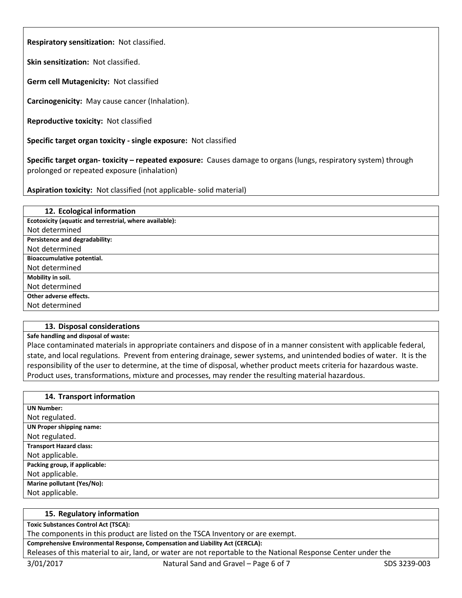**Respiratory sensitization:** Not classified.

**Skin sensitization:** Not classified.

**Germ cell Mutagenicity:** Not classified

**Carcinogenicity:** May cause cancer (Inhalation).

**Reproductive toxicity:** Not classified

**Specific target organ toxicity - single exposure:** Not classified

**Specific target organ- toxicity – repeated exposure:** Causes damage to organs (lungs, respiratory system) through prolonged or repeated exposure (inhalation)

**Aspiration toxicity:** Not classified (not applicable- solid material)

| 12. Ecological information                              |
|---------------------------------------------------------|
| Ecotoxicity (aquatic and terrestrial, where available): |
| Not determined                                          |
| Persistence and degradability:                          |
| Not determined                                          |
| Bioaccumulative potential.                              |
| Not determined                                          |
| Mobility in soil.                                       |
| Not determined                                          |
| Other adverse effects.                                  |
| Not determined                                          |
|                                                         |

# **13. Disposal considerations**

# **Safe handling and disposal of waste:**

Place contaminated materials in appropriate containers and dispose of in a manner consistent with applicable federal, state, and local regulations. Prevent from entering drainage, sewer systems, and unintended bodies of water. It is the responsibility of the user to determine, at the time of disposal, whether product meets criteria for hazardous waste. Product uses, transformations, mixture and processes, may render the resulting material hazardous.

| 14. Transport information       |
|---------------------------------|
| <b>UN Number:</b>               |
| Not regulated.                  |
| <b>UN Proper shipping name:</b> |
| Not regulated.                  |
| <b>Transport Hazard class:</b>  |
| Not applicable.                 |
| Packing group, if applicable:   |
| Not applicable.                 |
| Marine pollutant (Yes/No):      |
| Not applicable.                 |

#### **15. Regulatory information**

**Toxic Substances Control Act (TSCA):**

The components in this product are listed on the TSCA Inventory or are exempt.

#### **Comprehensive Environmental Response, Compensation and Liability Act (CERCLA):**

Releases of this material to air, land, or water are not reportable to the National Response Center under the